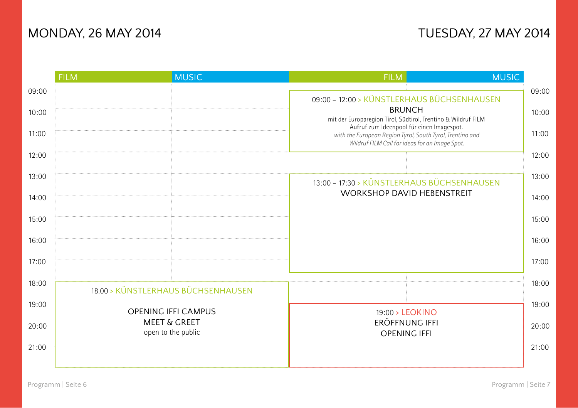# MONDAY, 26 MAY 2014 **MONDAY, 27 MAY 2014**

|       | <b>FILM</b>                                                                 | <b>MUSIC</b>                       | <b>FILM</b>                                                                                                                                                                                                                                                                              | <b>MUSIC</b> |       |
|-------|-----------------------------------------------------------------------------|------------------------------------|------------------------------------------------------------------------------------------------------------------------------------------------------------------------------------------------------------------------------------------------------------------------------------------|--------------|-------|
| 09:00 |                                                                             |                                    | 09:00 - 12:00 > KÜNSTLERHAUS BÜCHSENHAUSEN<br><b>BRUNCH</b><br>mit der Europaregion Tirol, Südtirol, Trentino & Wildruf FILM<br>Aufruf zum Ideenpool für einen Imagespot.<br>with the European Region Tyrol, South Tyrol, Trentino and<br>Wildruf FILM Call for ideas for an Image Spot. |              | 09:00 |
| 10:00 |                                                                             |                                    |                                                                                                                                                                                                                                                                                          |              | 10:00 |
| 11:00 |                                                                             |                                    |                                                                                                                                                                                                                                                                                          |              | 11:00 |
| 12:00 |                                                                             |                                    |                                                                                                                                                                                                                                                                                          |              | 12:00 |
| 13:00 |                                                                             |                                    | 13:00 - 17:30 > KÜNSTLERHAUS BÜCHSENHAUSEN                                                                                                                                                                                                                                               |              |       |
| 14:00 |                                                                             |                                    | <b>WORKSHOP DAVID HEBENSTREIT</b>                                                                                                                                                                                                                                                        |              | 14:00 |
| 15:00 |                                                                             |                                    |                                                                                                                                                                                                                                                                                          |              | 15:00 |
| 16:00 |                                                                             |                                    |                                                                                                                                                                                                                                                                                          |              | 16:00 |
| 17:00 |                                                                             |                                    |                                                                                                                                                                                                                                                                                          |              | 17:00 |
| 18:00 |                                                                             | 18.00 > KÜNSTLERHAUS BÜCHSENHAUSEN |                                                                                                                                                                                                                                                                                          |              | 18:00 |
| 19:00 | <b>OPENING IFFI CAMPUS</b><br><b>MEET &amp; GREET</b><br>open to the public |                                    | 19:00 > LEOKINO<br><b>ERÖFFNUNG IFFI</b><br><b>OPENING IFFI</b>                                                                                                                                                                                                                          |              | 19:00 |
| 20:00 |                                                                             |                                    |                                                                                                                                                                                                                                                                                          |              | 20:00 |
| 21:00 |                                                                             |                                    |                                                                                                                                                                                                                                                                                          |              | 21:00 |
|       |                                                                             |                                    |                                                                                                                                                                                                                                                                                          |              |       |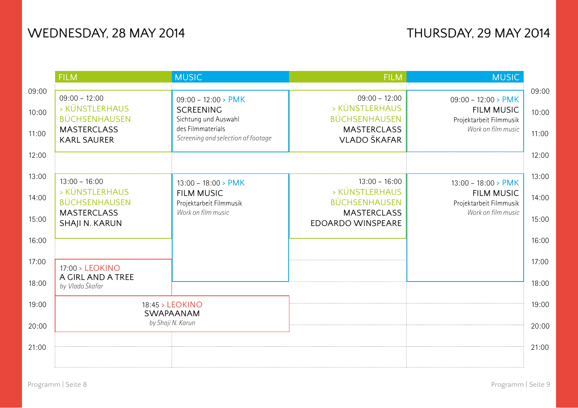|       | <b>FILM</b>                                | <b>MUSIC</b>                              | <b>FILM</b>                                | <b>MUSIC</b>                                  |       |
|-------|--------------------------------------------|-------------------------------------------|--------------------------------------------|-----------------------------------------------|-------|
| 09:00 |                                            |                                           |                                            |                                               | 09:00 |
|       | $09:00 - 12:00$                            | $09:00 - 12:00 > PMK$                     | $09:00 - 12:00$                            | $09:00 - 12:00 > PMK$                         |       |
| 10:00 | > KÜNSTLERHAUS                             | <b>SCREENING</b>                          | > KÜNSTLERHAUS                             | <b>FILM MUSIC</b>                             | 10:00 |
|       | <b>BÜCHSENHAUSEN</b><br><b>MASTERCLASS</b> | Sichtung und Auswahl<br>des Filmmaterials | <b>BÜCHSENHAUSEN</b><br><b>MASTERCLASS</b> | Projektarbeit Filmmusik<br>Work on film music |       |
| 11:00 | <b>KARL SAURER</b>                         | Screening and selection of footage        | VLADO ŠKAFAR                               |                                               | 11:00 |
|       |                                            |                                           |                                            |                                               |       |
| 12:00 |                                            |                                           |                                            |                                               | 12:00 |
|       |                                            |                                           |                                            |                                               |       |
| 13:00 | $13:00 - 16:00$                            | $13:00 - 18:00 > PMK$                     | $13:00 - 16:00$                            | $13:00 - 18:00 > PMK$                         | 13:00 |
| 14:00 | > KÜNSTLERHAUS                             | <b>FILM MUSIC</b>                         | > KÜNSTLERHAUS                             | <b>FILM MUSIC</b>                             | 14:00 |
|       | <b>BÜCHSENHAUSEN</b>                       | Projektarbeit Filmmusik                   | <b>BÜCHSENHAUSEN</b>                       | Projektarbeit Filmmusik                       |       |
| 15:00 | <b>MASTERCLASS</b>                         | Work on film music                        | <b>MASTERCLASS</b>                         | Work on film music                            | 15:00 |
|       | SHAJI N. KARUN                             |                                           | <b>EDOARDO WINSPEARE</b>                   |                                               |       |
| 16:00 |                                            |                                           |                                            |                                               | 16:00 |
|       |                                            |                                           |                                            |                                               |       |
| 17:00 | 17:00 > LEOKINO                            |                                           |                                            |                                               | 17:00 |
|       | A GIRL AND A TREE                          |                                           |                                            |                                               |       |
| 18:00 | by Vlado Škafar                            |                                           |                                            |                                               | 18:00 |
| 19:00 | 18:45 > LEOKINO<br>SWAPAANAM               |                                           |                                            |                                               | 19:00 |
|       |                                            |                                           |                                            |                                               |       |
| 20:00 |                                            | by Shaji N. Karun                         |                                            |                                               | 20:00 |
|       |                                            |                                           |                                            |                                               |       |
| 21:00 |                                            |                                           |                                            |                                               | 21:00 |
|       |                                            |                                           |                                            |                                               |       |
|       |                                            |                                           |                                            |                                               |       |